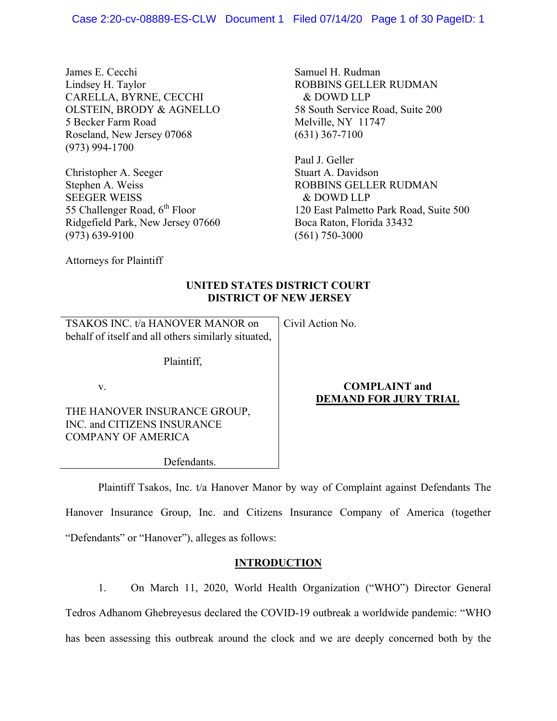James E. Cecchi Lindsey H. Taylor CARELLA, BYRNE, CECCHI OLSTEIN, BRODY & AGNELLO 5 Becker Farm Road Roseland, New Jersey 07068 (973) 994-1700

Christopher A. Seeger Stephen A. Weiss SEEGER WEISS 55 Challenger Road, 6<sup>th</sup> Floor Ridgefield Park, New Jersey 07660 (973) 639-9100

Samuel H. Rudman ROBBINS GELLER RUDMAN & DOWD LLP 58 South Service Road, Suite 200 Melville, NY 11747 (631) 367-7100

Paul J. Geller Stuart A. Davidson ROBBINS GELLER RUDMAN & DOWD LLP 120 East Palmetto Park Road, Suite 500 Boca Raton, Florida 33432 (561) 750-3000

Attorneys for Plaintiff

## **UNITED STATES DISTRICT COURT DISTRICT OF NEW JERSEY**

TSAKOS INC. t/a HANOVER MANOR on behalf of itself and all others similarly situated, Civil Action No.

Plaintiff,

v.

THE HANOVER INSURANCE GROUP, INC. and CITIZENS INSURANCE COMPANY OF AMERICA

## **COMPLAINT and DEMAND FOR JURY TRIAL**

Defendants.

Plaintiff Tsakos, Inc. t/a Hanover Manor by way of Complaint against Defendants The

Hanover Insurance Group, Inc. and Citizens Insurance Company of America (together "Defendants" or "Hanover"), alleges as follows:

## **INTRODUCTION**

1. On March 11, 2020, World Health Organization ("WHO") Director General Tedros Adhanom Ghebreyesus declared the COVID-19 outbreak a worldwide pandemic: "WHO has been assessing this outbreak around the clock and we are deeply concerned both by the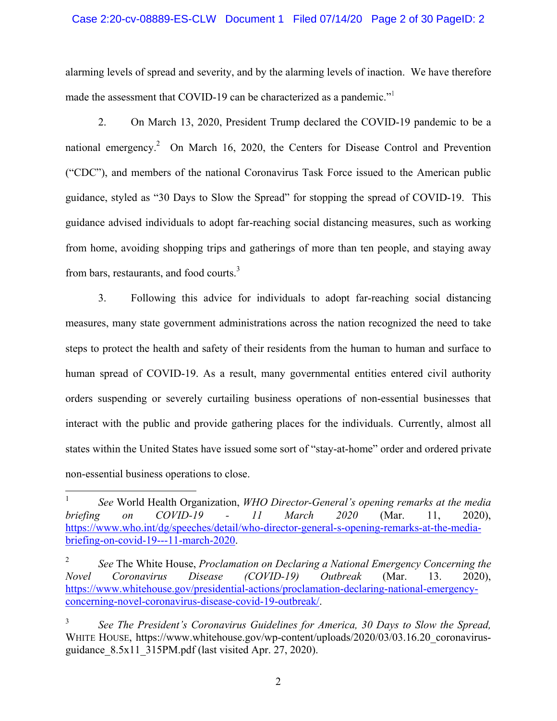### Case 2:20-cv-08889-ES-CLW Document 1 Filed 07/14/20 Page 2 of 30 PageID: 2

alarming levels of spread and severity, and by the alarming levels of inaction. We have therefore made the assessment that COVID-19 can be characterized as a pandemic."<sup>1</sup>

2. On March 13, 2020, President Trump declared the COVID-19 pandemic to be a national emergency.<sup>2</sup> On March 16, 2020, the Centers for Disease Control and Prevention ("CDC"), and members of the national Coronavirus Task Force issued to the American public guidance, styled as "30 Days to Slow the Spread" for stopping the spread of COVID-19. This guidance advised individuals to adopt far-reaching social distancing measures, such as working from home, avoiding shopping trips and gatherings of more than ten people, and staying away from bars, restaurants, and food courts.<sup>3</sup>

3. Following this advice for individuals to adopt far-reaching social distancing measures, many state government administrations across the nation recognized the need to take steps to protect the health and safety of their residents from the human to human and surface to human spread of COVID-19. As a result, many governmental entities entered civil authority orders suspending or severely curtailing business operations of non-essential businesses that interact with the public and provide gathering places for the individuals. Currently, almost all states within the United States have issued some sort of "stay-at-home" order and ordered private non-essential business operations to close.

 $\frac{1}{1}$  *See* World Health Organization, *WHO Director-General's opening remarks at the media briefing on COVID-19 - 11 March 2020* (Mar. 11, 2020), https://www.who.int/dg/speeches/detail/who-director-general-s-opening-remarks-at-the-mediabriefing-on-covid-19---11-march-2020.

<sup>2</sup> *See* The White House, *Proclamation on Declaring a National Emergency Concerning the Novel Coronavirus Disease (COVID-19) Outbreak* (Mar. 13. 2020), https://www.whitehouse.gov/presidential-actions/proclamation-declaring-national-emergencyconcerning-novel-coronavirus-disease-covid-19-outbreak/.

<sup>3</sup> *See The President's Coronavirus Guidelines for America, 30 Days to Slow the Spread,*  WHITE HOUSE, https://www.whitehouse.gov/wp-content/uploads/2020/03/03.16.20 coronavirusguidance 8.5x11\_315PM.pdf (last visited Apr. 27, 2020).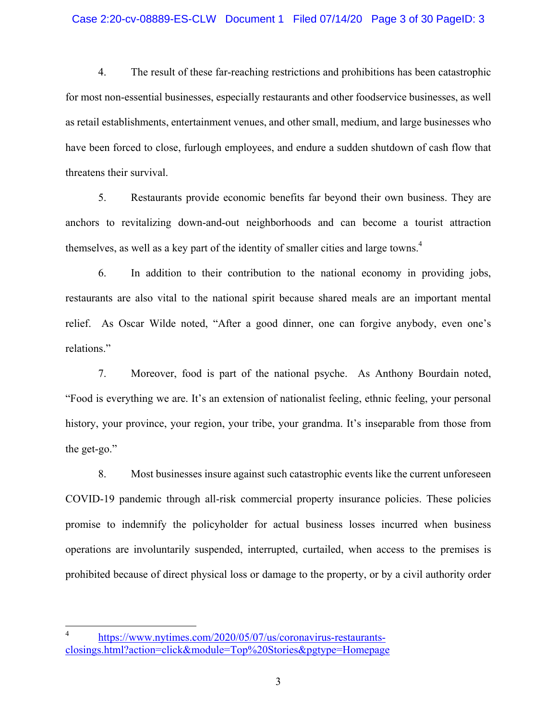## Case 2:20-cv-08889-ES-CLW Document 1 Filed 07/14/20 Page 3 of 30 PageID: 3

4. The result of these far-reaching restrictions and prohibitions has been catastrophic for most non-essential businesses, especially restaurants and other foodservice businesses, as well as retail establishments, entertainment venues, and other small, medium, and large businesses who have been forced to close, furlough employees, and endure a sudden shutdown of cash flow that threatens their survival.

5. Restaurants provide economic benefits far beyond their own business. They are anchors to revitalizing down-and-out neighborhoods and can become a tourist attraction themselves, as well as a key part of the identity of smaller cities and large towns.<sup>4</sup>

6. In addition to their contribution to the national economy in providing jobs, restaurants are also vital to the national spirit because shared meals are an important mental relief. As Oscar Wilde noted, "After a good dinner, one can forgive anybody, even one's relations."

7. Moreover, food is part of the national psyche. As Anthony Bourdain noted, "Food is everything we are. It's an extension of nationalist feeling, ethnic feeling, your personal history, your province, your region, your tribe, your grandma. It's inseparable from those from the get-go."

8. Most businesses insure against such catastrophic events like the current unforeseen COVID-19 pandemic through all-risk commercial property insurance policies. These policies promise to indemnify the policyholder for actual business losses incurred when business operations are involuntarily suspended, interrupted, curtailed, when access to the premises is prohibited because of direct physical loss or damage to the property, or by a civil authority order

 $\overline{a}$ 

<sup>4</sup> https://www.nytimes.com/2020/05/07/us/coronavirus-restaurantsclosings.html?action=click&module=Top%20Stories&pgtype=Homepage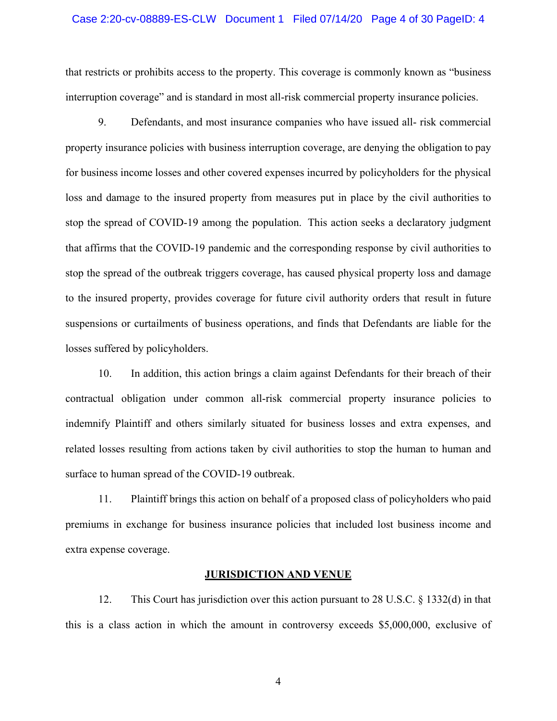#### Case 2:20-cv-08889-ES-CLW Document 1 Filed 07/14/20 Page 4 of 30 PageID: 4

that restricts or prohibits access to the property. This coverage is commonly known as "business interruption coverage" and is standard in most all-risk commercial property insurance policies.

9. Defendants, and most insurance companies who have issued all- risk commercial property insurance policies with business interruption coverage, are denying the obligation to pay for business income losses and other covered expenses incurred by policyholders for the physical loss and damage to the insured property from measures put in place by the civil authorities to stop the spread of COVID-19 among the population. This action seeks a declaratory judgment that affirms that the COVID-19 pandemic and the corresponding response by civil authorities to stop the spread of the outbreak triggers coverage, has caused physical property loss and damage to the insured property, provides coverage for future civil authority orders that result in future suspensions or curtailments of business operations, and finds that Defendants are liable for the losses suffered by policyholders.

10. In addition, this action brings a claim against Defendants for their breach of their contractual obligation under common all-risk commercial property insurance policies to indemnify Plaintiff and others similarly situated for business losses and extra expenses, and related losses resulting from actions taken by civil authorities to stop the human to human and surface to human spread of the COVID-19 outbreak.

11. Plaintiff brings this action on behalf of a proposed class of policyholders who paid premiums in exchange for business insurance policies that included lost business income and extra expense coverage.

#### **JURISDICTION AND VENUE**

12. This Court has jurisdiction over this action pursuant to 28 U.S.C. § 1332(d) in that this is a class action in which the amount in controversy exceeds \$5,000,000, exclusive of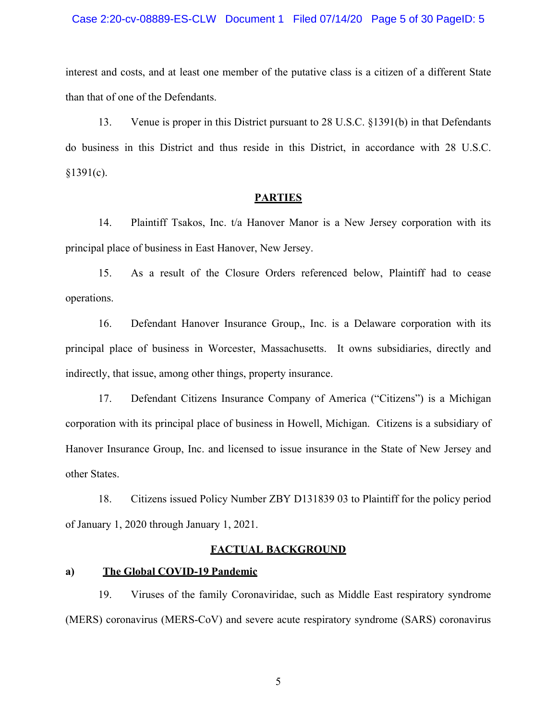#### Case 2:20-cv-08889-ES-CLW Document 1 Filed 07/14/20 Page 5 of 30 PageID: 5

interest and costs, and at least one member of the putative class is a citizen of a different State than that of one of the Defendants.

13. Venue is proper in this District pursuant to 28 U.S.C. §1391(b) in that Defendants do business in this District and thus reside in this District, in accordance with 28 U.S.C.  $$1391(c).$ 

#### **PARTIES**

14. Plaintiff Tsakos, Inc. t/a Hanover Manor is a New Jersey corporation with its principal place of business in East Hanover, New Jersey.

15. As a result of the Closure Orders referenced below, Plaintiff had to cease operations.

16. Defendant Hanover Insurance Group,, Inc. is a Delaware corporation with its principal place of business in Worcester, Massachusetts. It owns subsidiaries, directly and indirectly, that issue, among other things, property insurance.

17. Defendant Citizens Insurance Company of America ("Citizens") is a Michigan corporation with its principal place of business in Howell, Michigan. Citizens is a subsidiary of Hanover Insurance Group, Inc. and licensed to issue insurance in the State of New Jersey and other States.

18. Citizens issued Policy Number ZBY D131839 03 to Plaintiff for the policy period of January 1, 2020 through January 1, 2021.

#### **FACTUAL BACKGROUND**

## **a) The Global COVID-19 Pandemic**

19. Viruses of the family Coronaviridae, such as Middle East respiratory syndrome (MERS) coronavirus (MERS-CoV) and severe acute respiratory syndrome (SARS) coronavirus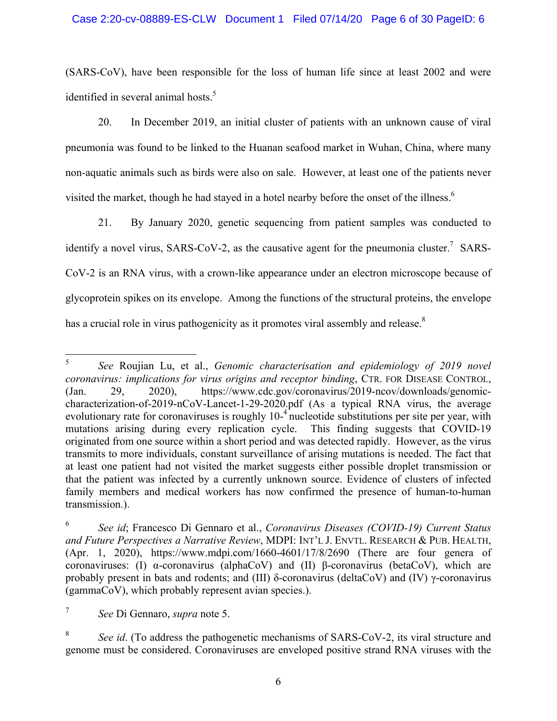### Case 2:20-cv-08889-ES-CLW Document 1 Filed 07/14/20 Page 6 of 30 PageID: 6

(SARS-CoV), have been responsible for the loss of human life since at least 2002 and were identified in several animal hosts.<sup>5</sup>

20. In December 2019, an initial cluster of patients with an unknown cause of viral pneumonia was found to be linked to the Huanan seafood market in Wuhan, China, where many non-aquatic animals such as birds were also on sale. However, at least one of the patients never visited the market, though he had stayed in a hotel nearby before the onset of the illness.<sup>6</sup>

21. By January 2020, genetic sequencing from patient samples was conducted to identify a novel virus, SARS-CoV-2, as the causative agent for the pneumonia cluster.<sup>7</sup> SARS-CoV-2 is an RNA virus, with a crown-like appearance under an electron microscope because of glycoprotein spikes on its envelope. Among the functions of the structural proteins, the envelope has a crucial role in virus pathogenicity as it promotes viral assembly and release.<sup>8</sup>

 $\frac{1}{5}$  *See* Roujian Lu, et al., *Genomic characterisation and epidemiology of 2019 novel coronavirus: implications for virus origins and receptor binding*, CTR. FOR DISEASE CONTROL, (Jan. 29, 2020), https://www.cdc.gov/coronavirus/2019-ncov/downloads/genomiccharacterization-of-2019-nCoV-Lancet-1-29-2020.pdf (As a typical RNA virus, the average evolutionary rate for coronaviruses is roughly  $10^{-4}$  nucleotide substitutions per site per year, with mutations arising during every replication cycle. This finding suggests that COVID-19 originated from one source within a short period and was detected rapidly. However, as the virus transmits to more individuals, constant surveillance of arising mutations is needed. The fact that at least one patient had not visited the market suggests either possible droplet transmission or that the patient was infected by a currently unknown source. Evidence of clusters of infected family members and medical workers has now confirmed the presence of human-to-human transmission.).

<sup>6</sup> *See id*; Francesco Di Gennaro et al., *Coronavirus Diseases (COVID-19) Current Status and Future Perspectives a Narrative Review*, MDPI: INT'L J. ENVTL. RESEARCH & PUB. HEALTH, (Apr. 1, 2020), https://www.mdpi.com/1660-4601/17/8/2690 (There are four genera of coronaviruses: (I) α-coronavirus (alphaCoV) and (II) β-coronavirus (betaCoV), which are probably present in bats and rodents; and (III) δ-coronavirus (deltaCoV) and (IV) γ-coronavirus (gammaCoV), which probably represent avian species.).

<sup>7</sup> *See* Di Gennaro, *supra* note 5.

<sup>8</sup> *See id*. (To address the pathogenetic mechanisms of SARS-CoV-2, its viral structure and genome must be considered. Coronaviruses are enveloped positive strand RNA viruses with the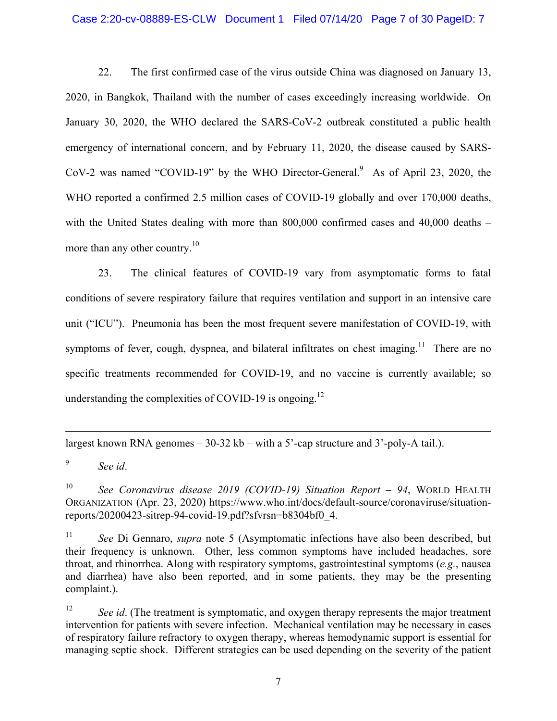#### Case 2:20-cv-08889-ES-CLW Document 1 Filed 07/14/20 Page 7 of 30 PageID: 7

22. The first confirmed case of the virus outside China was diagnosed on January 13, 2020, in Bangkok, Thailand with the number of cases exceedingly increasing worldwide. On January 30, 2020, the WHO declared the SARS-CoV-2 outbreak constituted a public health emergency of international concern, and by February 11, 2020, the disease caused by SARS-CoV-2 was named "COVID-19" by the WHO Director-General.<sup>9</sup> As of April 23, 2020, the WHO reported a confirmed 2.5 million cases of COVID-19 globally and over 170,000 deaths, with the United States dealing with more than 800,000 confirmed cases and 40,000 deaths – more than any other country.<sup>10</sup>

23. The clinical features of COVID-19 vary from asymptomatic forms to fatal conditions of severe respiratory failure that requires ventilation and support in an intensive care unit ("ICU"). Pneumonia has been the most frequent severe manifestation of COVID-19, with symptoms of fever, cough, dyspnea, and bilateral infiltrates on chest imaging.<sup>11</sup> There are no specific treatments recommended for COVID-19, and no vaccine is currently available; so understanding the complexities of COVID-19 is ongoing.<sup>12</sup>

largest known RNA genomes – 30-32 kb – with a 5'-cap structure and 3'-poly-A tail.).

9 *See id*.

1

10 *See Coronavirus disease 2019 (COVID-19) Situation Report – 94*, WORLD HEALTH ORGANIZATION (Apr. 23, 2020) https://www.who.int/docs/default-source/coronaviruse/situationreports/20200423-sitrep-94-covid-19.pdf?sfvrsn=b8304bf0\_4.

11 *See* Di Gennaro, *supra* note 5 (Asymptomatic infections have also been described, but their frequency is unknown. Other, less common symptoms have included headaches, sore throat, and rhinorrhea. Along with respiratory symptoms, gastrointestinal symptoms (*e.g.*, nausea and diarrhea) have also been reported, and in some patients, they may be the presenting complaint.).

<sup>12</sup> *See id.* (The treatment is symptomatic, and oxygen therapy represents the major treatment intervention for patients with severe infection. Mechanical ventilation may be necessary in cases of respiratory failure refractory to oxygen therapy, whereas hemodynamic support is essential for managing septic shock. Different strategies can be used depending on the severity of the patient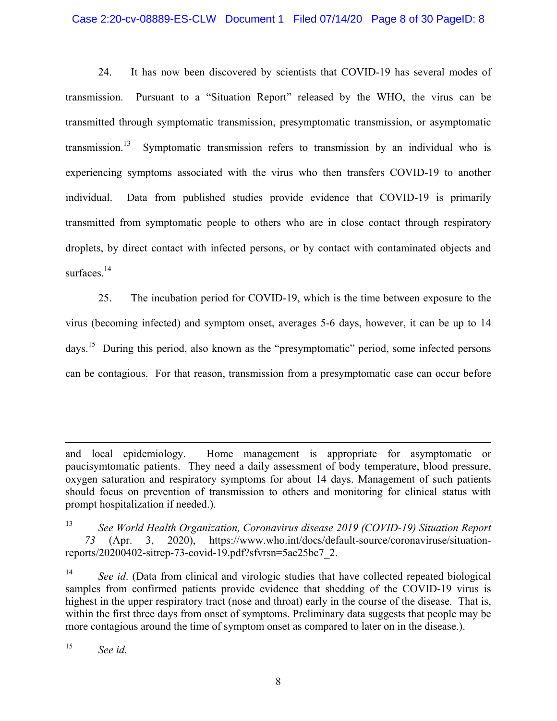### Case 2:20-cv-08889-ES-CLW Document 1 Filed 07/14/20 Page 8 of 30 PageID: 8

24. It has now been discovered by scientists that COVID-19 has several modes of transmission. Pursuant to a "Situation Report" released by the WHO, the virus can be transmitted through symptomatic transmission, presymptomatic transmission, or asymptomatic transmission.<sup>13</sup> Symptomatic transmission refers to transmission by an individual who is experiencing symptoms associated with the virus who then transfers COVID-19 to another individual. Data from published studies provide evidence that COVID-19 is primarily transmitted from symptomatic people to others who are in close contact through respiratory droplets, by direct contact with infected persons, or by contact with contaminated objects and surfaces.<sup>14</sup>

25. The incubation period for COVID-19, which is the time between exposure to the virus (becoming infected) and symptom onset, averages 5-6 days, however, it can be up to 14 days.15 During this period, also known as the "presymptomatic" period, some infected persons can be contagious. For that reason, transmission from a presymptomatic case can occur before

<sup>15</sup> *See id.*

 $\overline{a}$ 

and local epidemiology. Home management is appropriate for asymptomatic or paucisymtomatic patients. They need a daily assessment of body temperature, blood pressure, oxygen saturation and respiratory symptoms for about 14 days. Management of such patients should focus on prevention of transmission to others and monitoring for clinical status with prompt hospitalization if needed.).

<sup>13</sup> *See World Health Organization, Coronavirus disease 2019 (COVID-19) Situation Report – 73* (Apr. 3, 2020), https://www.who.int/docs/default-source/coronaviruse/situationreports/20200402-sitrep-73-covid-19.pdf?sfvrsn=5ae25bc7\_2.

<sup>&</sup>lt;sup>14</sup> *See id.* (Data from clinical and virologic studies that have collected repeated biological samples from confirmed patients provide evidence that shedding of the COVID-19 virus is highest in the upper respiratory tract (nose and throat) early in the course of the disease. That is, within the first three days from onset of symptoms. Preliminary data suggests that people may be more contagious around the time of symptom onset as compared to later on in the disease.).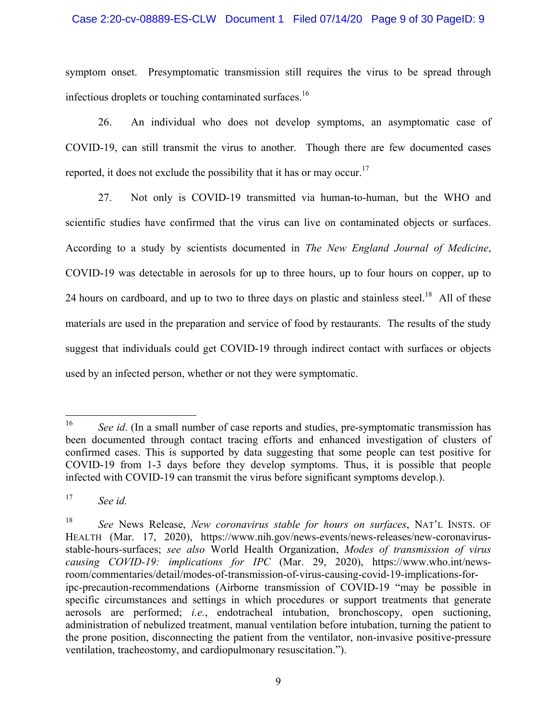### Case 2:20-cv-08889-ES-CLW Document 1 Filed 07/14/20 Page 9 of 30 PageID: 9

symptom onset. Presymptomatic transmission still requires the virus to be spread through infectious droplets or touching contaminated surfaces.<sup>16</sup>

26. An individual who does not develop symptoms, an asymptomatic case of COVID-19, can still transmit the virus to another. Though there are few documented cases reported, it does not exclude the possibility that it has or may occur.<sup>17</sup>

27. Not only is COVID-19 transmitted via human-to-human, but the WHO and scientific studies have confirmed that the virus can live on contaminated objects or surfaces. According to a study by scientists documented in *The New England Journal of Medicine*, COVID-19 was detectable in aerosols for up to three hours, up to four hours on copper, up to 24 hours on cardboard, and up to two to three days on plastic and stainless steel.<sup>18</sup> All of these materials are used in the preparation and service of food by restaurants. The results of the study suggest that individuals could get COVID-19 through indirect contact with surfaces or objects used by an infected person, whether or not they were symptomatic.

<sup>16</sup> See id. (In a small number of case reports and studies, pre-symptomatic transmission has been documented through contact tracing efforts and enhanced investigation of clusters of confirmed cases. This is supported by data suggesting that some people can test positive for COVID-19 from 1-3 days before they develop symptoms. Thus, it is possible that people infected with COVID-19 can transmit the virus before significant symptoms develop.).

<sup>17</sup> *See id.*

<sup>18</sup> *See* News Release, *New coronavirus stable for hours on surfaces*, NAT'L INSTS. OF HEALTH (Mar. 17, 2020), https://www.nih.gov/news-events/news-releases/new-coronavirusstable-hours-surfaces; *see also* World Health Organization, *Modes of transmission of virus causing COVID-19: implications for IPC* (Mar. 29, 2020), https://www.who.int/newsroom/commentaries/detail/modes-of-transmission-of-virus-causing-covid-19-implications-foripc-precaution-recommendations (Airborne transmission of COVID-19 "may be possible in specific circumstances and settings in which procedures or support treatments that generate aerosols are performed; *i.e.*, endotracheal intubation, bronchoscopy, open suctioning, administration of nebulized treatment, manual ventilation before intubation, turning the patient to the prone position, disconnecting the patient from the ventilator, non-invasive positive-pressure ventilation, tracheostomy, and cardiopulmonary resuscitation.").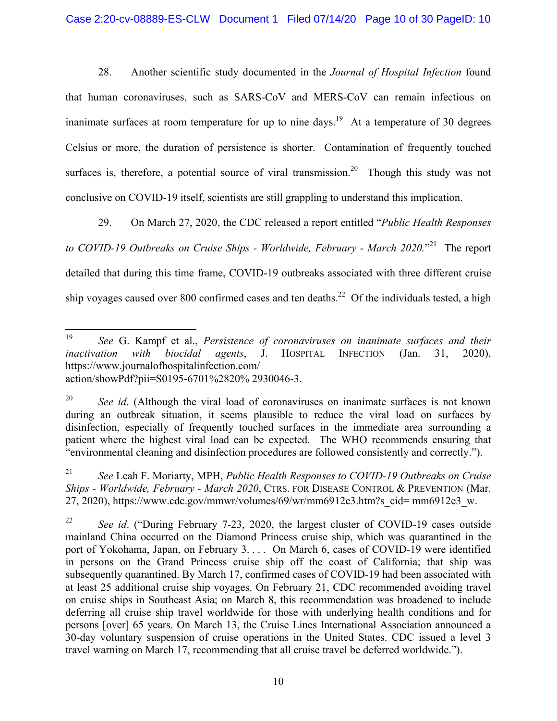28. Another scientific study documented in the *Journal of Hospital Infection* found that human coronaviruses, such as SARS-CoV and MERS-CoV can remain infectious on inanimate surfaces at room temperature for up to nine days.<sup>19</sup> At a temperature of 30 degrees Celsius or more, the duration of persistence is shorter. Contamination of frequently touched surfaces is, therefore, a potential source of viral transmission.<sup>20</sup> Though this study was not conclusive on COVID-19 itself, scientists are still grappling to understand this implication.

29. On March 27, 2020, the CDC released a report entitled "*Public Health Responses*  to COVID-19 Outbreaks on Cruise Ships - Worldwide, February - March 2020."<sup>21</sup> The report detailed that during this time frame, COVID-19 outbreaks associated with three different cruise ship voyages caused over 800 confirmed cases and ten deaths.<sup>22</sup> Of the individuals tested, a high

<sup>19</sup> <sup>19</sup> *See* G. Kampf et al., *Persistence of coronaviruses on inanimate surfaces and their inactivation with biocidal agents*, J. HOSPITAL INFECTION (Jan. 31, 2020), https://www.journalofhospitalinfection.com/ action/showPdf?pii=S0195-6701%2820% 2930046-3.

<sup>20</sup> *See id*. (Although the viral load of coronaviruses on inanimate surfaces is not known during an outbreak situation, it seems plausible to reduce the viral load on surfaces by disinfection, especially of frequently touched surfaces in the immediate area surrounding a patient where the highest viral load can be expected. The WHO recommends ensuring that "environmental cleaning and disinfection procedures are followed consistently and correctly.").

<sup>21</sup> *See* Leah F. Moriarty, MPH, *Public Health Responses to COVID-19 Outbreaks on Cruise Ships - Worldwide, February - March 2020*, CTRS. FOR DISEASE CONTROL & PREVENTION (Mar. 27, 2020), https://www.cdc.gov/mmwr/volumes/69/wr/mm6912e3.htm?s\_cid= mm6912e3\_w.

<sup>22</sup> *See id*. ("During February 7-23, 2020, the largest cluster of COVID-19 cases outside mainland China occurred on the Diamond Princess cruise ship, which was quarantined in the port of Yokohama, Japan, on February 3. . . . On March 6, cases of COVID-19 were identified in persons on the Grand Princess cruise ship off the coast of California; that ship was subsequently quarantined. By March 17, confirmed cases of COVID-19 had been associated with at least 25 additional cruise ship voyages. On February 21, CDC recommended avoiding travel on cruise ships in Southeast Asia; on March 8, this recommendation was broadened to include deferring all cruise ship travel worldwide for those with underlying health conditions and for persons [over] 65 years. On March 13, the Cruise Lines International Association announced a 30-day voluntary suspension of cruise operations in the United States. CDC issued a level 3 travel warning on March 17, recommending that all cruise travel be deferred worldwide.").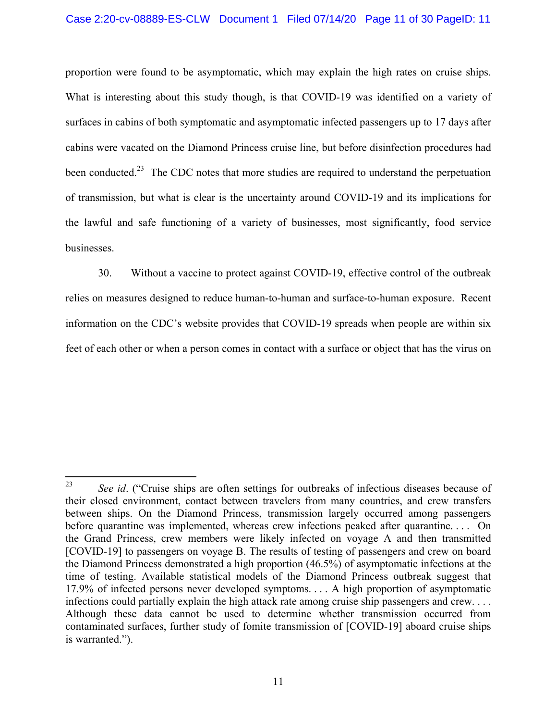## Case 2:20-cv-08889-ES-CLW Document 1 Filed 07/14/20 Page 11 of 30 PageID: 11

proportion were found to be asymptomatic, which may explain the high rates on cruise ships. What is interesting about this study though, is that COVID-19 was identified on a variety of surfaces in cabins of both symptomatic and asymptomatic infected passengers up to 17 days after cabins were vacated on the Diamond Princess cruise line, but before disinfection procedures had been conducted.<sup>23</sup> The CDC notes that more studies are required to understand the perpetuation of transmission, but what is clear is the uncertainty around COVID-19 and its implications for the lawful and safe functioning of a variety of businesses, most significantly, food service businesses.

30. Without a vaccine to protect against COVID-19, effective control of the outbreak relies on measures designed to reduce human-to-human and surface-to-human exposure. Recent information on the CDC's website provides that COVID-19 spreads when people are within six feet of each other or when a person comes in contact with a surface or object that has the virus on

<sup>23</sup> See id. ("Cruise ships are often settings for outbreaks of infectious diseases because of their closed environment, contact between travelers from many countries, and crew transfers between ships. On the Diamond Princess, transmission largely occurred among passengers before quarantine was implemented, whereas crew infections peaked after quarantine.... On the Grand Princess, crew members were likely infected on voyage A and then transmitted [COVID-19] to passengers on voyage B. The results of testing of passengers and crew on board the Diamond Princess demonstrated a high proportion (46.5%) of asymptomatic infections at the time of testing. Available statistical models of the Diamond Princess outbreak suggest that 17.9% of infected persons never developed symptoms. . . . A high proportion of asymptomatic infections could partially explain the high attack rate among cruise ship passengers and crew. . . . Although these data cannot be used to determine whether transmission occurred from contaminated surfaces, further study of fomite transmission of [COVID-19] aboard cruise ships is warranted.").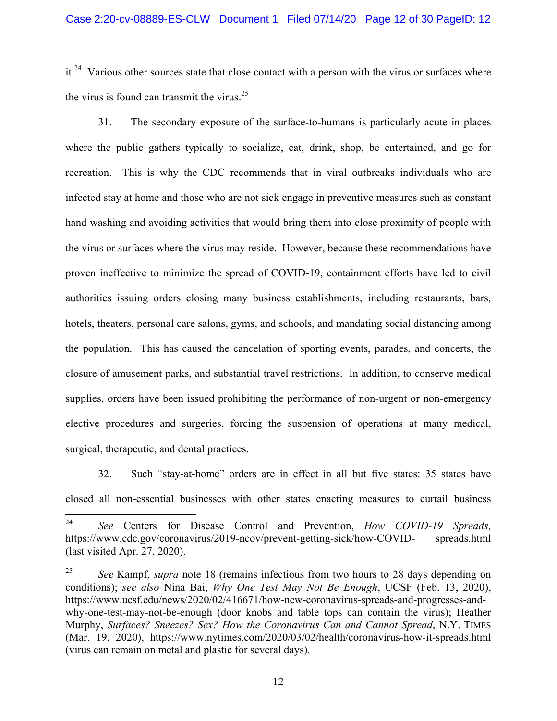$it.^{24}$  Various other sources state that close contact with a person with the virus or surfaces where the virus is found can transmit the virus. $25$ 

31. The secondary exposure of the surface-to-humans is particularly acute in places where the public gathers typically to socialize, eat, drink, shop, be entertained, and go for recreation. This is why the CDC recommends that in viral outbreaks individuals who are infected stay at home and those who are not sick engage in preventive measures such as constant hand washing and avoiding activities that would bring them into close proximity of people with the virus or surfaces where the virus may reside. However, because these recommendations have proven ineffective to minimize the spread of COVID-19, containment efforts have led to civil authorities issuing orders closing many business establishments, including restaurants, bars, hotels, theaters, personal care salons, gyms, and schools, and mandating social distancing among the population. This has caused the cancelation of sporting events, parades, and concerts, the closure of amusement parks, and substantial travel restrictions. In addition, to conserve medical supplies, orders have been issued prohibiting the performance of non-urgent or non-emergency elective procedures and surgeries, forcing the suspension of operations at many medical, surgical, therapeutic, and dental practices.

32. Such "stay-at-home" orders are in effect in all but five states: 35 states have closed all non-essential businesses with other states enacting measures to curtail business

<sup>24</sup> 24 *See* Centers for Disease Control and Prevention, *How COVID-19 Spreads*, https://www.cdc.gov/coronavirus/2019-ncov/prevent-getting-sick/how-COVID- spreads.html (last visited Apr. 27, 2020).

<sup>25</sup> *See* Kampf, *supra* note 18 (remains infectious from two hours to 28 days depending on conditions); *see also* Nina Bai, *Why One Test May Not Be Enough*, UCSF (Feb. 13, 2020), https://www.ucsf.edu/news/2020/02/416671/how-new-coronavirus-spreads-and-progresses-andwhy-one-test-may-not-be-enough (door knobs and table tops can contain the virus); Heather Murphy, *Surfaces? Sneezes? Sex? How the Coronavirus Can and Cannot Spread*, N.Y. TIMES (Mar. 19, 2020), https://www.nytimes.com/2020/03/02/health/coronavirus-how-it-spreads.html (virus can remain on metal and plastic for several days).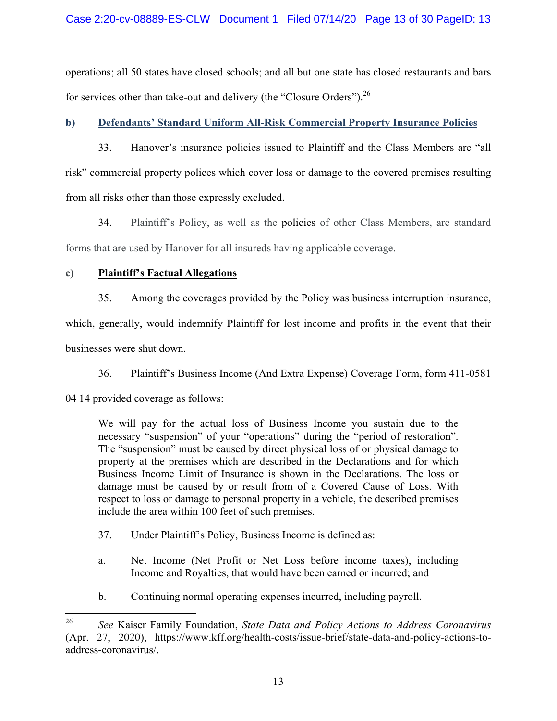operations; all 50 states have closed schools; and all but one state has closed restaurants and bars for services other than take-out and delivery (the "Closure Orders").<sup>26</sup>

## **b) Defendants' Standard Uniform All-Risk Commercial Property Insurance Policies**

33. Hanover's insurance policies issued to Plaintiff and the Class Members are "all risk" commercial property polices which cover loss or damage to the covered premises resulting from all risks other than those expressly excluded.

34. Plaintiff's Policy, as well as the policies of other Class Members, are standard forms that are used by Hanover for all insureds having applicable coverage.

## **c) Plaintiff's Factual Allegations**

35. Among the coverages provided by the Policy was business interruption insurance,

which, generally, would indemnify Plaintiff for lost income and profits in the event that their

businesses were shut down.

36. Plaintiff's Business Income (And Extra Expense) Coverage Form, form 411-0581

04 14 provided coverage as follows:

We will pay for the actual loss of Business Income you sustain due to the necessary "suspension" of your "operations" during the "period of restoration". The "suspension" must be caused by direct physical loss of or physical damage to property at the premises which are described in the Declarations and for which Business Income Limit of Insurance is shown in the Declarations. The loss or damage must be caused by or result from of a Covered Cause of Loss. With respect to loss or damage to personal property in a vehicle, the described premises include the area within 100 feet of such premises.

- 37. Under Plaintiff's Policy, Business Income is defined as:
- a. Net Income (Net Profit or Net Loss before income taxes), including Income and Royalties, that would have been earned or incurred; and
- b. Continuing normal operating expenses incurred, including payroll.

<sup>26</sup> <sup>26</sup> *See* Kaiser Family Foundation, *State Data and Policy Actions to Address Coronavirus*  (Apr. 27, 2020), https://www.kff.org/health-costs/issue-brief/state-data-and-policy-actions-toaddress-coronavirus/.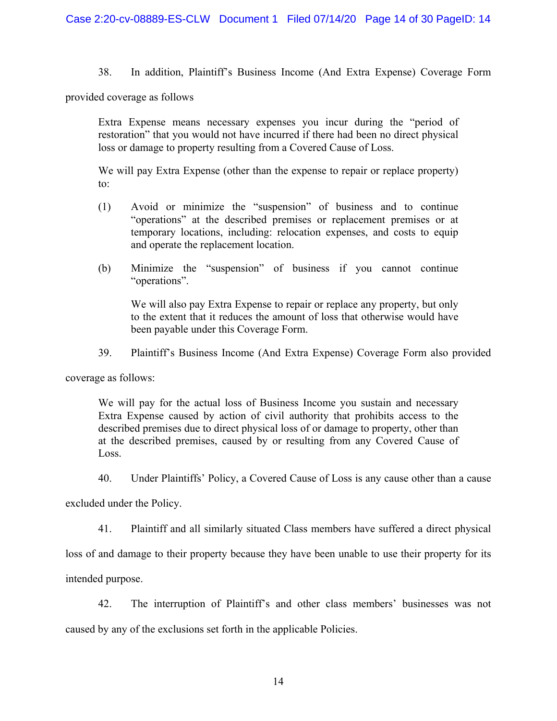38. In addition, Plaintiff's Business Income (And Extra Expense) Coverage Form

provided coverage as follows

Extra Expense means necessary expenses you incur during the "period of restoration" that you would not have incurred if there had been no direct physical loss or damage to property resulting from a Covered Cause of Loss.

We will pay Extra Expense (other than the expense to repair or replace property) to:

- (1) Avoid or minimize the "suspension" of business and to continue "operations" at the described premises or replacement premises or at temporary locations, including: relocation expenses, and costs to equip and operate the replacement location.
- (b) Minimize the "suspension" of business if you cannot continue "operations".

 We will also pay Extra Expense to repair or replace any property, but only to the extent that it reduces the amount of loss that otherwise would have been payable under this Coverage Form.

39. Plaintiff's Business Income (And Extra Expense) Coverage Form also provided

coverage as follows:

We will pay for the actual loss of Business Income you sustain and necessary Extra Expense caused by action of civil authority that prohibits access to the described premises due to direct physical loss of or damage to property, other than at the described premises, caused by or resulting from any Covered Cause of Loss.

40. Under Plaintiffs' Policy, a Covered Cause of Loss is any cause other than a cause

excluded under the Policy.

41. Plaintiff and all similarly situated Class members have suffered a direct physical

loss of and damage to their property because they have been unable to use their property for its

intended purpose.

42. The interruption of Plaintiff's and other class members' businesses was not caused by any of the exclusions set forth in the applicable Policies.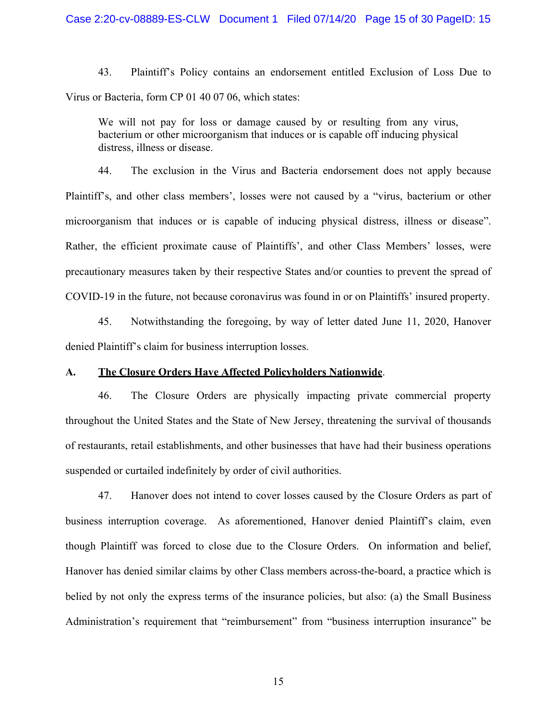43. Plaintiff's Policy contains an endorsement entitled Exclusion of Loss Due to Virus or Bacteria, form CP 01 40 07 06, which states:

We will not pay for loss or damage caused by or resulting from any virus, bacterium or other microorganism that induces or is capable off inducing physical distress, illness or disease.

44. The exclusion in the Virus and Bacteria endorsement does not apply because Plaintiff's, and other class members', losses were not caused by a "virus, bacterium or other microorganism that induces or is capable of inducing physical distress, illness or disease". Rather, the efficient proximate cause of Plaintiffs', and other Class Members' losses, were precautionary measures taken by their respective States and/or counties to prevent the spread of COVID-19 in the future, not because coronavirus was found in or on Plaintiffs' insured property.

45. Notwithstanding the foregoing, by way of letter dated June 11, 2020, Hanover denied Plaintiff's claim for business interruption losses.

### **A. The Closure Orders Have Affected Policyholders Nationwide**.

46. The Closure Orders are physically impacting private commercial property throughout the United States and the State of New Jersey, threatening the survival of thousands of restaurants, retail establishments, and other businesses that have had their business operations suspended or curtailed indefinitely by order of civil authorities.

47. Hanover does not intend to cover losses caused by the Closure Orders as part of business interruption coverage. As aforementioned, Hanover denied Plaintiff's claim, even though Plaintiff was forced to close due to the Closure Orders. On information and belief, Hanover has denied similar claims by other Class members across-the-board, a practice which is belied by not only the express terms of the insurance policies, but also: (a) the Small Business Administration's requirement that "reimbursement" from "business interruption insurance" be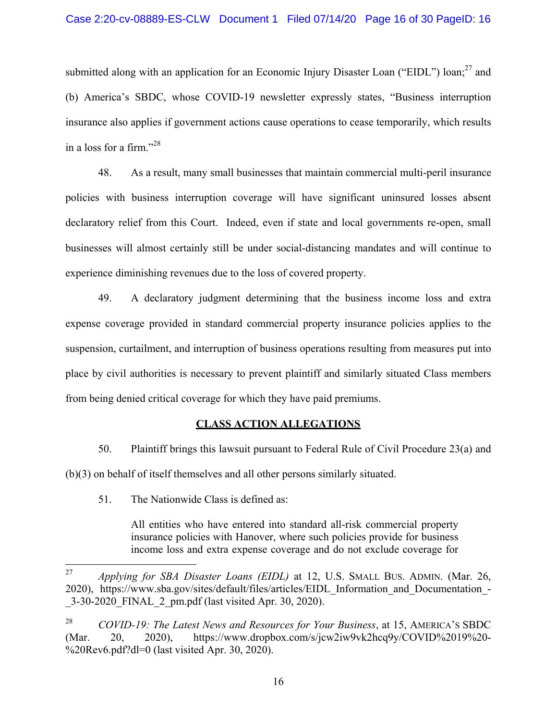submitted along with an application for an Economic Injury Disaster Loan ("EIDL") loan;<sup>27</sup> and (b) America's SBDC, whose COVID-19 newsletter expressly states, "Business interruption insurance also applies if government actions cause operations to cease temporarily, which results in a loss for a firm."<sup>28</sup>

48. As a result, many small businesses that maintain commercial multi-peril insurance policies with business interruption coverage will have significant uninsured losses absent declaratory relief from this Court. Indeed, even if state and local governments re-open, small businesses will almost certainly still be under social-distancing mandates and will continue to experience diminishing revenues due to the loss of covered property.

49. A declaratory judgment determining that the business income loss and extra expense coverage provided in standard commercial property insurance policies applies to the suspension, curtailment, and interruption of business operations resulting from measures put into place by civil authorities is necessary to prevent plaintiff and similarly situated Class members from being denied critical coverage for which they have paid premiums.

## **CLASS ACTION ALLEGATIONS**

50. Plaintiff brings this lawsuit pursuant to Federal Rule of Civil Procedure 23(a) and (b)(3) on behalf of itself themselves and all other persons similarly situated.

51. The Nationwide Class is defined as:

All entities who have entered into standard all-risk commercial property insurance policies with Hanover, where such policies provide for business income loss and extra expense coverage and do not exclude coverage for

<sup>27</sup> <sup>27</sup> *Applying for SBA Disaster Loans (EIDL)* at 12, U.S. SMALL BUS. ADMIN. (Mar. 26, 2020), https://www.sba.gov/sites/default/files/articles/EIDL\_Information\_and\_Documentation\_- \_3-30-2020\_FINAL\_2\_pm.pdf (last visited Apr. 30, 2020).

<sup>28</sup> *COVID-19: The Latest News and Resources for Your Business*, at 15, AMERICA'S SBDC (Mar. 20, 2020), https://www.dropbox.com/s/jcw2iw9vk2hcq9y/COVID%2019%20- %20Rev6.pdf?dl=0 (last visited Apr. 30, 2020).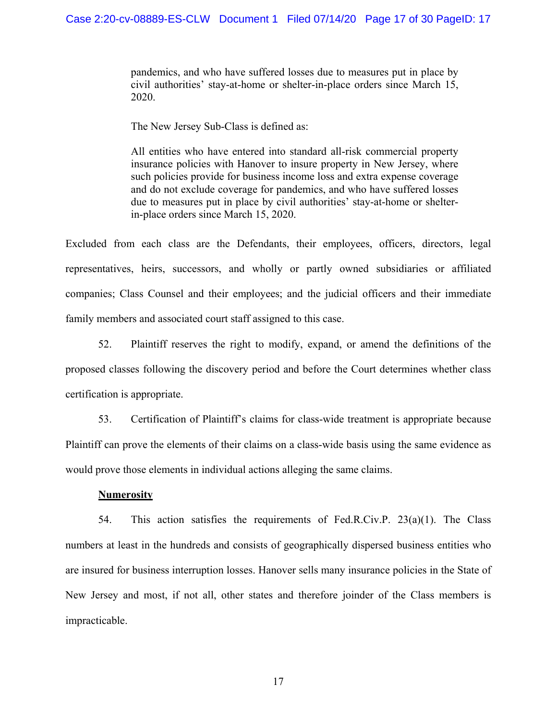pandemics, and who have suffered losses due to measures put in place by civil authorities' stay-at-home or shelter-in-place orders since March 15, 2020.

The New Jersey Sub-Class is defined as:

All entities who have entered into standard all-risk commercial property insurance policies with Hanover to insure property in New Jersey, where such policies provide for business income loss and extra expense coverage and do not exclude coverage for pandemics, and who have suffered losses due to measures put in place by civil authorities' stay-at-home or shelterin-place orders since March 15, 2020.

Excluded from each class are the Defendants, their employees, officers, directors, legal representatives, heirs, successors, and wholly or partly owned subsidiaries or affiliated companies; Class Counsel and their employees; and the judicial officers and their immediate family members and associated court staff assigned to this case.

52. Plaintiff reserves the right to modify, expand, or amend the definitions of the proposed classes following the discovery period and before the Court determines whether class certification is appropriate.

53. Certification of Plaintiff's claims for class-wide treatment is appropriate because Plaintiff can prove the elements of their claims on a class-wide basis using the same evidence as would prove those elements in individual actions alleging the same claims.

#### **Numerosity**

54. This action satisfies the requirements of Fed.R.Civ.P. 23(a)(1). The Class numbers at least in the hundreds and consists of geographically dispersed business entities who are insured for business interruption losses. Hanover sells many insurance policies in the State of New Jersey and most, if not all, other states and therefore joinder of the Class members is impracticable.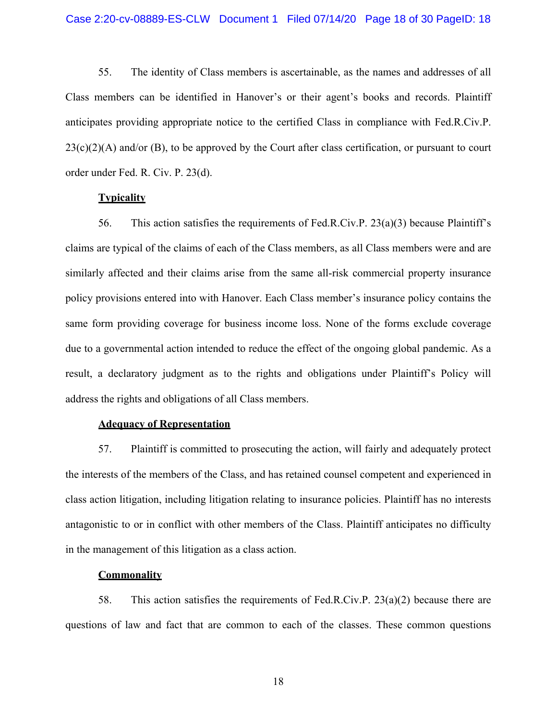55. The identity of Class members is ascertainable, as the names and addresses of all Class members can be identified in Hanover's or their agent's books and records. Plaintiff anticipates providing appropriate notice to the certified Class in compliance with Fed.R.Civ.P.  $23(c)(2)(A)$  and/or (B), to be approved by the Court after class certification, or pursuant to court order under Fed. R. Civ. P. 23(d).

### **Typicality**

56. This action satisfies the requirements of Fed.R.Civ.P. 23(a)(3) because Plaintiff's claims are typical of the claims of each of the Class members, as all Class members were and are similarly affected and their claims arise from the same all-risk commercial property insurance policy provisions entered into with Hanover. Each Class member's insurance policy contains the same form providing coverage for business income loss. None of the forms exclude coverage due to a governmental action intended to reduce the effect of the ongoing global pandemic. As a result, a declaratory judgment as to the rights and obligations under Plaintiff's Policy will address the rights and obligations of all Class members.

#### **Adequacy of Representation**

57. Plaintiff is committed to prosecuting the action, will fairly and adequately protect the interests of the members of the Class, and has retained counsel competent and experienced in class action litigation, including litigation relating to insurance policies. Plaintiff has no interests antagonistic to or in conflict with other members of the Class. Plaintiff anticipates no difficulty in the management of this litigation as a class action.

#### **Commonality**

58. This action satisfies the requirements of Fed.R.Civ.P. 23(a)(2) because there are questions of law and fact that are common to each of the classes. These common questions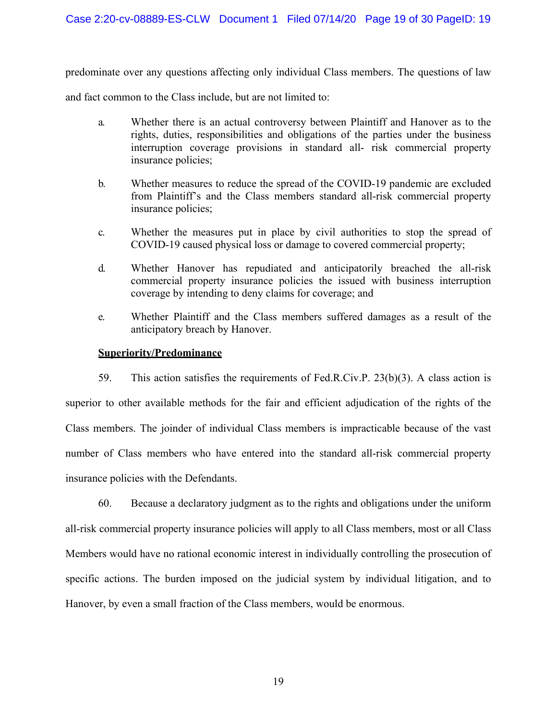predominate over any questions affecting only individual Class members. The questions of law

and fact common to the Class include, but are not limited to:

- a. Whether there is an actual controversy between Plaintiff and Hanover as to the rights, duties, responsibilities and obligations of the parties under the business interruption coverage provisions in standard all- risk commercial property insurance policies;
- b. Whether measures to reduce the spread of the COVID-19 pandemic are excluded from Plaintiff's and the Class members standard all-risk commercial property insurance policies;
- c. Whether the measures put in place by civil authorities to stop the spread of COVID-19 caused physical loss or damage to covered commercial property;
- d. Whether Hanover has repudiated and anticipatorily breached the all-risk commercial property insurance policies the issued with business interruption coverage by intending to deny claims for coverage; and
- e. Whether Plaintiff and the Class members suffered damages as a result of the anticipatory breach by Hanover.

### **Superiority/Predominance**

59. This action satisfies the requirements of Fed.R.Civ.P. 23(b)(3). A class action is superior to other available methods for the fair and efficient adjudication of the rights of the Class members. The joinder of individual Class members is impracticable because of the vast number of Class members who have entered into the standard all-risk commercial property insurance policies with the Defendants.

60. Because a declaratory judgment as to the rights and obligations under the uniform all-risk commercial property insurance policies will apply to all Class members, most or all Class Members would have no rational economic interest in individually controlling the prosecution of specific actions. The burden imposed on the judicial system by individual litigation, and to Hanover, by even a small fraction of the Class members, would be enormous.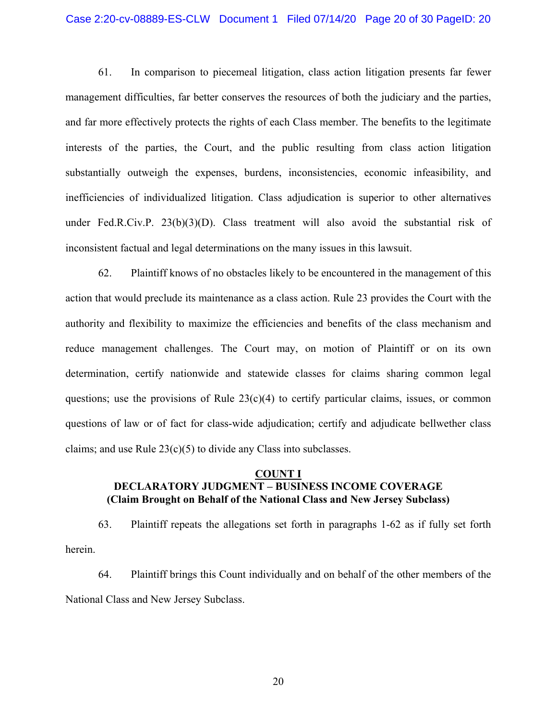## Case 2:20-cv-08889-ES-CLW Document 1 Filed 07/14/20 Page 20 of 30 PageID: 20

61. In comparison to piecemeal litigation, class action litigation presents far fewer management difficulties, far better conserves the resources of both the judiciary and the parties, and far more effectively protects the rights of each Class member. The benefits to the legitimate interests of the parties, the Court, and the public resulting from class action litigation substantially outweigh the expenses, burdens, inconsistencies, economic infeasibility, and inefficiencies of individualized litigation. Class adjudication is superior to other alternatives under Fed.R.Civ.P. 23(b)(3)(D). Class treatment will also avoid the substantial risk of inconsistent factual and legal determinations on the many issues in this lawsuit.

62. Plaintiff knows of no obstacles likely to be encountered in the management of this action that would preclude its maintenance as a class action. Rule 23 provides the Court with the authority and flexibility to maximize the efficiencies and benefits of the class mechanism and reduce management challenges. The Court may, on motion of Plaintiff or on its own determination, certify nationwide and statewide classes for claims sharing common legal questions; use the provisions of Rule  $23(c)(4)$  to certify particular claims, issues, or common questions of law or of fact for class-wide adjudication; certify and adjudicate bellwether class claims; and use Rule  $23(c)(5)$  to divide any Class into subclasses.

### **COUNT I DECLARATORY JUDGMENT – BUSINESS INCOME COVERAGE (Claim Brought on Behalf of the National Class and New Jersey Subclass)**

63. Plaintiff repeats the allegations set forth in paragraphs 1-62 as if fully set forth herein.

64. Plaintiff brings this Count individually and on behalf of the other members of the National Class and New Jersey Subclass.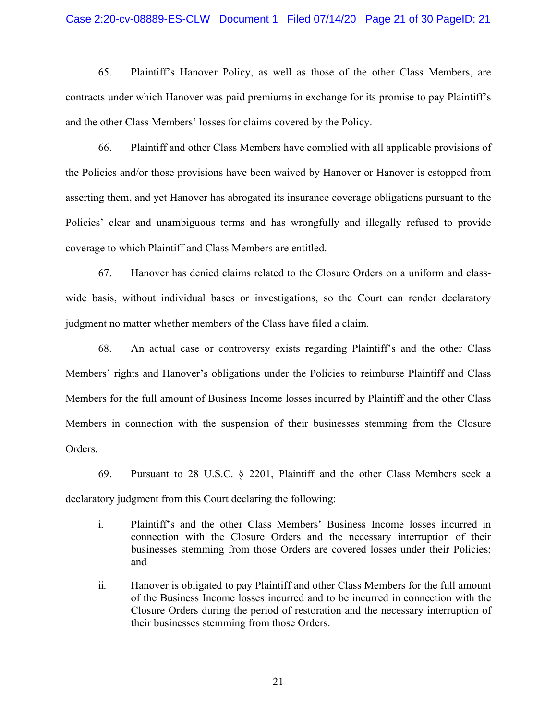#### Case 2:20-cv-08889-ES-CLW Document 1 Filed 07/14/20 Page 21 of 30 PageID: 21

65. Plaintiff's Hanover Policy, as well as those of the other Class Members, are contracts under which Hanover was paid premiums in exchange for its promise to pay Plaintiff's and the other Class Members' losses for claims covered by the Policy.

66. Plaintiff and other Class Members have complied with all applicable provisions of the Policies and/or those provisions have been waived by Hanover or Hanover is estopped from asserting them, and yet Hanover has abrogated its insurance coverage obligations pursuant to the Policies' clear and unambiguous terms and has wrongfully and illegally refused to provide coverage to which Plaintiff and Class Members are entitled.

67. Hanover has denied claims related to the Closure Orders on a uniform and classwide basis, without individual bases or investigations, so the Court can render declaratory judgment no matter whether members of the Class have filed a claim.

68. An actual case or controversy exists regarding Plaintiff's and the other Class Members' rights and Hanover's obligations under the Policies to reimburse Plaintiff and Class Members for the full amount of Business Income losses incurred by Plaintiff and the other Class Members in connection with the suspension of their businesses stemming from the Closure Orders.

69. Pursuant to 28 U.S.C. § 2201, Plaintiff and the other Class Members seek a declaratory judgment from this Court declaring the following:

- i. Plaintiff's and the other Class Members' Business Income losses incurred in connection with the Closure Orders and the necessary interruption of their businesses stemming from those Orders are covered losses under their Policies; and
- ii. Hanover is obligated to pay Plaintiff and other Class Members for the full amount of the Business Income losses incurred and to be incurred in connection with the Closure Orders during the period of restoration and the necessary interruption of their businesses stemming from those Orders.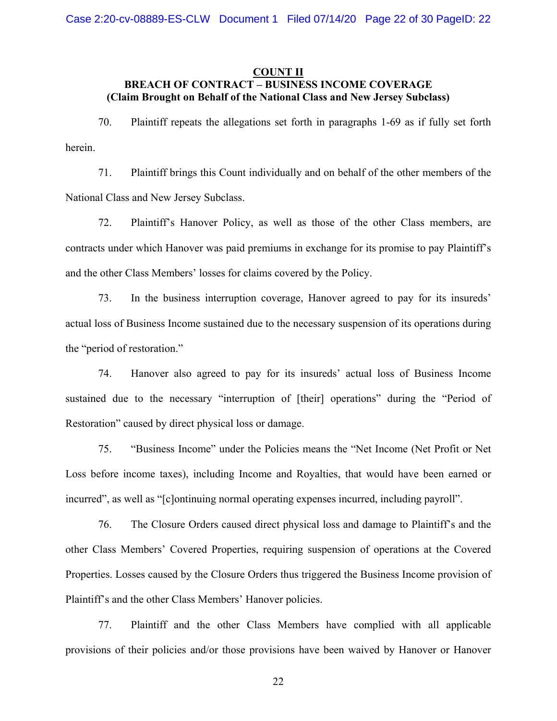### **COUNT II BREACH OF CONTRACT – BUSINESS INCOME COVERAGE (Claim Brought on Behalf of the National Class and New Jersey Subclass)**

70. Plaintiff repeats the allegations set forth in paragraphs 1-69 as if fully set forth herein.

71. Plaintiff brings this Count individually and on behalf of the other members of the National Class and New Jersey Subclass.

72. Plaintiff's Hanover Policy, as well as those of the other Class members, are contracts under which Hanover was paid premiums in exchange for its promise to pay Plaintiff's and the other Class Members' losses for claims covered by the Policy.

73. In the business interruption coverage, Hanover agreed to pay for its insureds' actual loss of Business Income sustained due to the necessary suspension of its operations during the "period of restoration."

74. Hanover also agreed to pay for its insureds' actual loss of Business Income sustained due to the necessary "interruption of [their] operations" during the "Period of Restoration" caused by direct physical loss or damage.

75. "Business Income" under the Policies means the "Net Income (Net Profit or Net Loss before income taxes), including Income and Royalties, that would have been earned or incurred", as well as "[c]ontinuing normal operating expenses incurred, including payroll".

76. The Closure Orders caused direct physical loss and damage to Plaintiff's and the other Class Members' Covered Properties, requiring suspension of operations at the Covered Properties. Losses caused by the Closure Orders thus triggered the Business Income provision of Plaintiff's and the other Class Members' Hanover policies.

77. Plaintiff and the other Class Members have complied with all applicable provisions of their policies and/or those provisions have been waived by Hanover or Hanover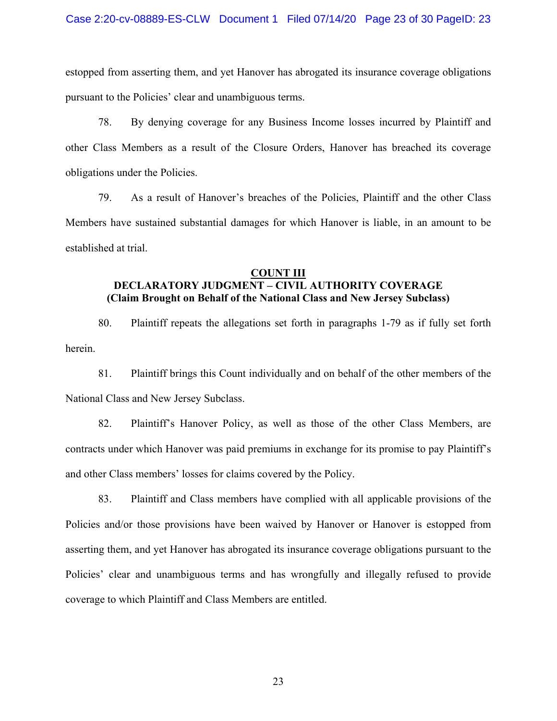estopped from asserting them, and yet Hanover has abrogated its insurance coverage obligations pursuant to the Policies' clear and unambiguous terms.

78. By denying coverage for any Business Income losses incurred by Plaintiff and other Class Members as a result of the Closure Orders, Hanover has breached its coverage obligations under the Policies.

79. As a result of Hanover's breaches of the Policies, Plaintiff and the other Class Members have sustained substantial damages for which Hanover is liable, in an amount to be established at trial.

### **COUNT III DECLARATORY JUDGMENT – CIVIL AUTHORITY COVERAGE (Claim Brought on Behalf of the National Class and New Jersey Subclass)**

80. Plaintiff repeats the allegations set forth in paragraphs 1-79 as if fully set forth herein.

81. Plaintiff brings this Count individually and on behalf of the other members of the National Class and New Jersey Subclass.

82. Plaintiff's Hanover Policy, as well as those of the other Class Members, are contracts under which Hanover was paid premiums in exchange for its promise to pay Plaintiff's and other Class members' losses for claims covered by the Policy.

83. Plaintiff and Class members have complied with all applicable provisions of the Policies and/or those provisions have been waived by Hanover or Hanover is estopped from asserting them, and yet Hanover has abrogated its insurance coverage obligations pursuant to the Policies' clear and unambiguous terms and has wrongfully and illegally refused to provide coverage to which Plaintiff and Class Members are entitled.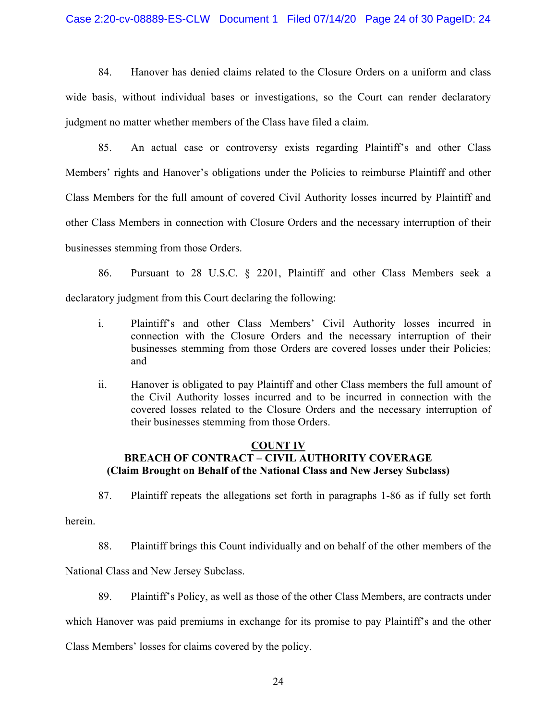### Case 2:20-cv-08889-ES-CLW Document 1 Filed 07/14/20 Page 24 of 30 PageID: 24

84. Hanover has denied claims related to the Closure Orders on a uniform and class wide basis, without individual bases or investigations, so the Court can render declaratory judgment no matter whether members of the Class have filed a claim.

85. An actual case or controversy exists regarding Plaintiff's and other Class Members' rights and Hanover's obligations under the Policies to reimburse Plaintiff and other Class Members for the full amount of covered Civil Authority losses incurred by Plaintiff and other Class Members in connection with Closure Orders and the necessary interruption of their businesses stemming from those Orders.

86. Pursuant to 28 U.S.C. § 2201, Plaintiff and other Class Members seek a declaratory judgment from this Court declaring the following:

- i. Plaintiff's and other Class Members' Civil Authority losses incurred in connection with the Closure Orders and the necessary interruption of their businesses stemming from those Orders are covered losses under their Policies; and
- ii. Hanover is obligated to pay Plaintiff and other Class members the full amount of the Civil Authority losses incurred and to be incurred in connection with the covered losses related to the Closure Orders and the necessary interruption of their businesses stemming from those Orders.

### **COUNT IV BREACH OF CONTRACT – CIVIL AUTHORITY COVERAGE (Claim Brought on Behalf of the National Class and New Jersey Subclass)**

87. Plaintiff repeats the allegations set forth in paragraphs 1-86 as if fully set forth

herein.

88. Plaintiff brings this Count individually and on behalf of the other members of the

National Class and New Jersey Subclass.

89. Plaintiff's Policy, as well as those of the other Class Members, are contracts under

which Hanover was paid premiums in exchange for its promise to pay Plaintiff's and the other

Class Members' losses for claims covered by the policy.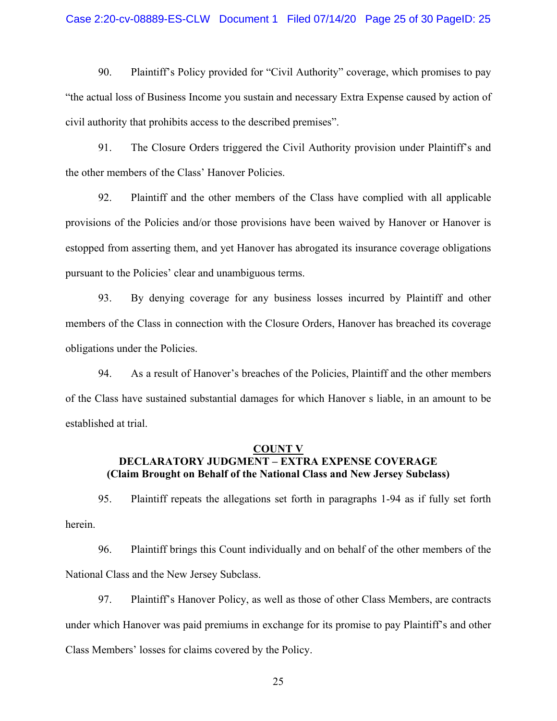#### Case 2:20-cv-08889-ES-CLW Document 1 Filed 07/14/20 Page 25 of 30 PageID: 25

90. Plaintiff's Policy provided for "Civil Authority" coverage, which promises to pay "the actual loss of Business Income you sustain and necessary Extra Expense caused by action of civil authority that prohibits access to the described premises".

91. The Closure Orders triggered the Civil Authority provision under Plaintiff's and the other members of the Class' Hanover Policies.

92. Plaintiff and the other members of the Class have complied with all applicable provisions of the Policies and/or those provisions have been waived by Hanover or Hanover is estopped from asserting them, and yet Hanover has abrogated its insurance coverage obligations pursuant to the Policies' clear and unambiguous terms.

93. By denying coverage for any business losses incurred by Plaintiff and other members of the Class in connection with the Closure Orders, Hanover has breached its coverage obligations under the Policies.

94. As a result of Hanover's breaches of the Policies, Plaintiff and the other members of the Class have sustained substantial damages for which Hanover s liable, in an amount to be established at trial.

#### **COUNT V**

## **DECLARATORY JUDGMENT – EXTRA EXPENSE COVERAGE (Claim Brought on Behalf of the National Class and New Jersey Subclass)**

95. Plaintiff repeats the allegations set forth in paragraphs 1-94 as if fully set forth herein.

96. Plaintiff brings this Count individually and on behalf of the other members of the National Class and the New Jersey Subclass.

97. Plaintiff's Hanover Policy, as well as those of other Class Members, are contracts under which Hanover was paid premiums in exchange for its promise to pay Plaintiff's and other Class Members' losses for claims covered by the Policy.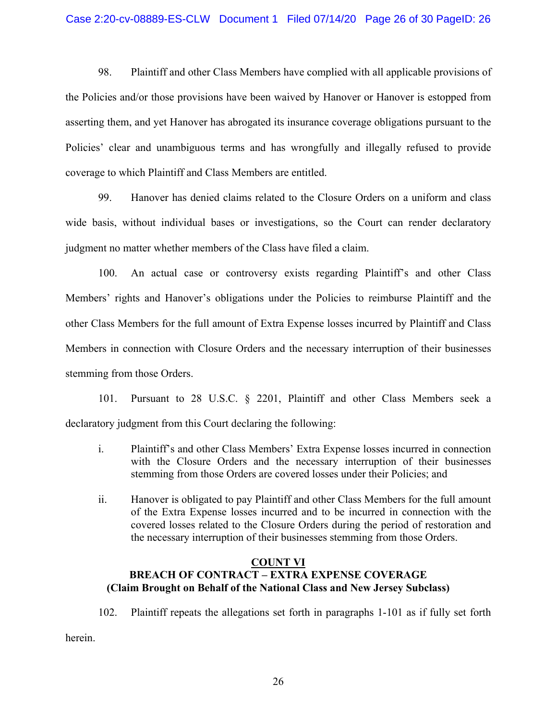98. Plaintiff and other Class Members have complied with all applicable provisions of the Policies and/or those provisions have been waived by Hanover or Hanover is estopped from asserting them, and yet Hanover has abrogated its insurance coverage obligations pursuant to the Policies' clear and unambiguous terms and has wrongfully and illegally refused to provide coverage to which Plaintiff and Class Members are entitled.

99. Hanover has denied claims related to the Closure Orders on a uniform and class wide basis, without individual bases or investigations, so the Court can render declaratory judgment no matter whether members of the Class have filed a claim.

100. An actual case or controversy exists regarding Plaintiff's and other Class Members' rights and Hanover's obligations under the Policies to reimburse Plaintiff and the other Class Members for the full amount of Extra Expense losses incurred by Plaintiff and Class Members in connection with Closure Orders and the necessary interruption of their businesses stemming from those Orders.

101. Pursuant to 28 U.S.C. § 2201, Plaintiff and other Class Members seek a declaratory judgment from this Court declaring the following:

- i. Plaintiff's and other Class Members' Extra Expense losses incurred in connection with the Closure Orders and the necessary interruption of their businesses stemming from those Orders are covered losses under their Policies; and
- ii. Hanover is obligated to pay Plaintiff and other Class Members for the full amount of the Extra Expense losses incurred and to be incurred in connection with the covered losses related to the Closure Orders during the period of restoration and the necessary interruption of their businesses stemming from those Orders.

### **COUNT VI**

# **BREACH OF CONTRACT – EXTRA EXPENSE COVERAGE (Claim Brought on Behalf of the National Class and New Jersey Subclass)**

102. Plaintiff repeats the allegations set forth in paragraphs 1-101 as if fully set forth

herein.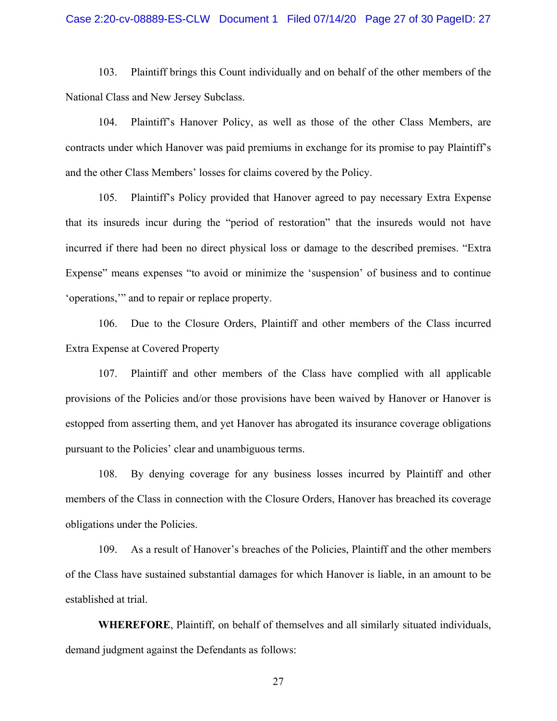#### Case 2:20-cv-08889-ES-CLW Document 1 Filed 07/14/20 Page 27 of 30 PageID: 27

103. Plaintiff brings this Count individually and on behalf of the other members of the National Class and New Jersey Subclass.

104. Plaintiff's Hanover Policy, as well as those of the other Class Members, are contracts under which Hanover was paid premiums in exchange for its promise to pay Plaintiff's and the other Class Members' losses for claims covered by the Policy.

105. Plaintiff's Policy provided that Hanover agreed to pay necessary Extra Expense that its insureds incur during the "period of restoration" that the insureds would not have incurred if there had been no direct physical loss or damage to the described premises. "Extra Expense" means expenses "to avoid or minimize the 'suspension' of business and to continue 'operations,'" and to repair or replace property.

106. Due to the Closure Orders, Plaintiff and other members of the Class incurred Extra Expense at Covered Property

107. Plaintiff and other members of the Class have complied with all applicable provisions of the Policies and/or those provisions have been waived by Hanover or Hanover is estopped from asserting them, and yet Hanover has abrogated its insurance coverage obligations pursuant to the Policies' clear and unambiguous terms.

108. By denying coverage for any business losses incurred by Plaintiff and other members of the Class in connection with the Closure Orders, Hanover has breached its coverage obligations under the Policies.

109. As a result of Hanover's breaches of the Policies, Plaintiff and the other members of the Class have sustained substantial damages for which Hanover is liable, in an amount to be established at trial.

**WHEREFORE**, Plaintiff, on behalf of themselves and all similarly situated individuals, demand judgment against the Defendants as follows: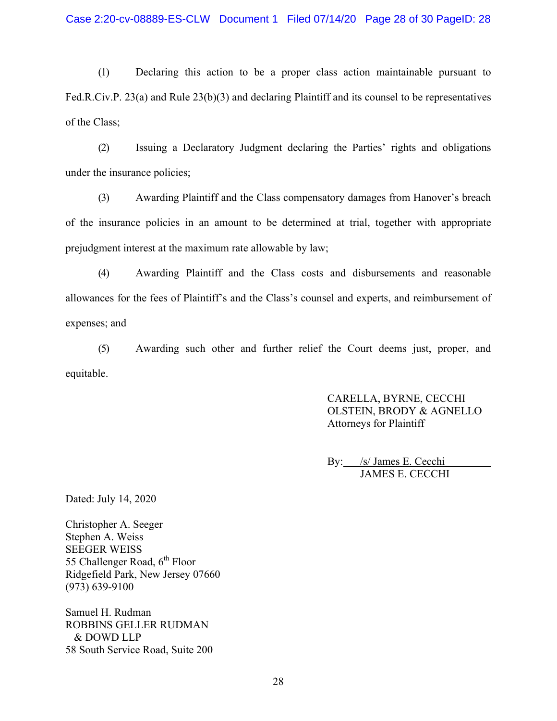(1) Declaring this action to be a proper class action maintainable pursuant to Fed.R.Civ.P. 23(a) and Rule 23(b)(3) and declaring Plaintiff and its counsel to be representatives of the Class;

(2) Issuing a Declaratory Judgment declaring the Parties' rights and obligations under the insurance policies;

(3) Awarding Plaintiff and the Class compensatory damages from Hanover's breach of the insurance policies in an amount to be determined at trial, together with appropriate prejudgment interest at the maximum rate allowable by law;

(4) Awarding Plaintiff and the Class costs and disbursements and reasonable allowances for the fees of Plaintiff's and the Class's counsel and experts, and reimbursement of expenses; and

(5) Awarding such other and further relief the Court deems just, proper, and equitable.

> CARELLA, BYRNE, CECCHI OLSTEIN, BRODY & AGNELLO Attorneys for Plaintiff

By: /s/ James E. Cecchi JAMES E. CECCHI

Dated: July 14, 2020

Christopher A. Seeger Stephen A. Weiss SEEGER WEISS 55 Challenger Road, 6<sup>th</sup> Floor Ridgefield Park, New Jersey 07660 (973) 639-9100

Samuel H. Rudman ROBBINS GELLER RUDMAN & DOWD LLP 58 South Service Road, Suite 200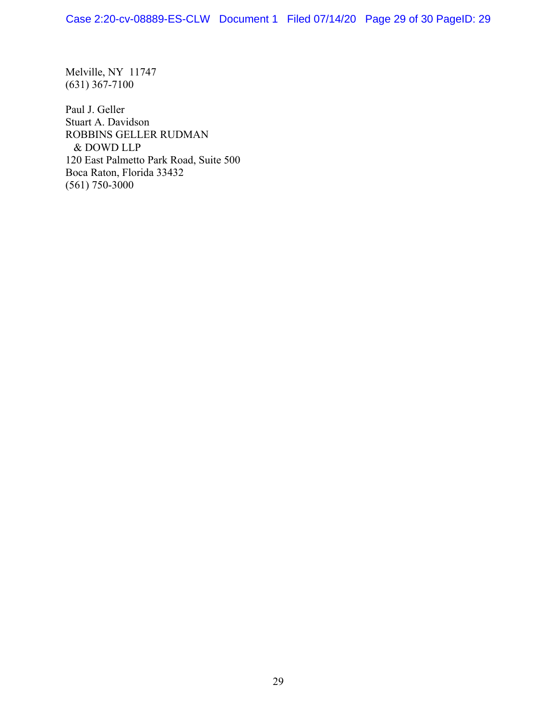Melville, NY 11747 (631) 367-7100

Paul J. Geller Stuart A. Davidson ROBBINS GELLER RUDMAN & DOWD LLP 120 East Palmetto Park Road, Suite 500 Boca Raton, Florida 33432 (561) 750-3000